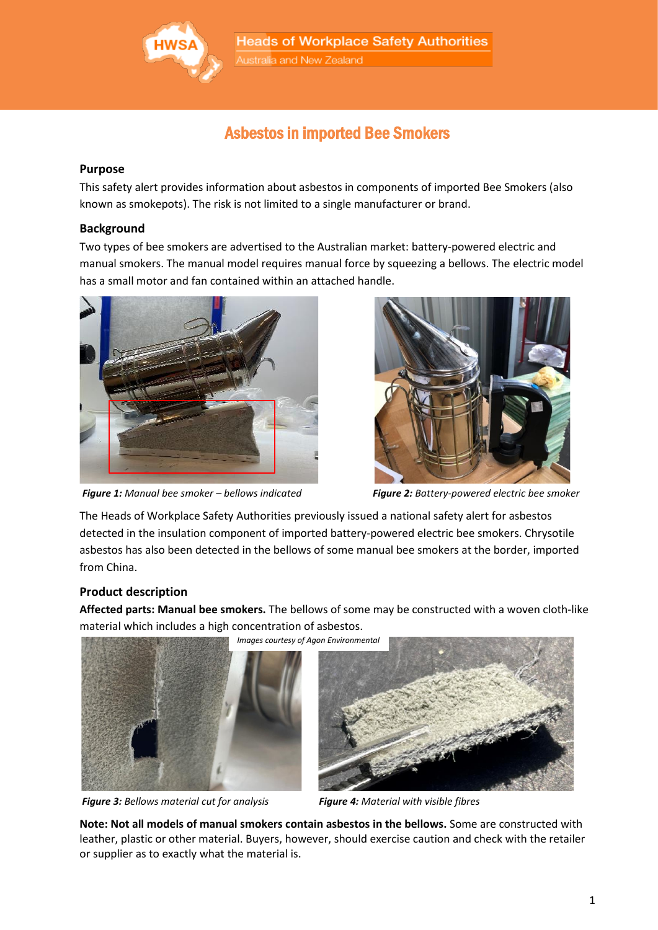

Australia and New Zealand

# Asbestos in imported Bee Smokers

#### **Purpose**

This safety alert provides information about asbestos in components of imported Bee Smokers (also known as smokepots). The risk is not limited to a single manufacturer or brand.

#### **Background**

Two types of bee smokers are advertised to the Australian market: battery-powered electric and manual smokers. The manual model requires manual force by squeezing a bellows. The electric model has a small motor and fan contained within an attached handle.



*Figure 1: Manual bee smoker – bellows indicated Figure 2: Battery-powered electric bee smoker*



The Heads of Workplace Safety Authorities previously issued a national safety alert for asbestos detected in the insulation component of imported battery-powered electric bee smokers. Chrysotile asbestos has also been detected in the bellows of some manual bee smokers at the border, imported from China.

## **Product description**

**Affected parts: Manual bee smokers.** The bellows of some may be constructed with a woven cloth-like material which includes a high concentration of asbestos.





*Images courtesy of Agon Environmental*



**Note: Not all models of manual smokers contain asbestos in the bellows.** Some are constructed with leather, plastic or other material. Buyers, however, should exercise caution and check with the retailer or supplier as to exactly what the material is.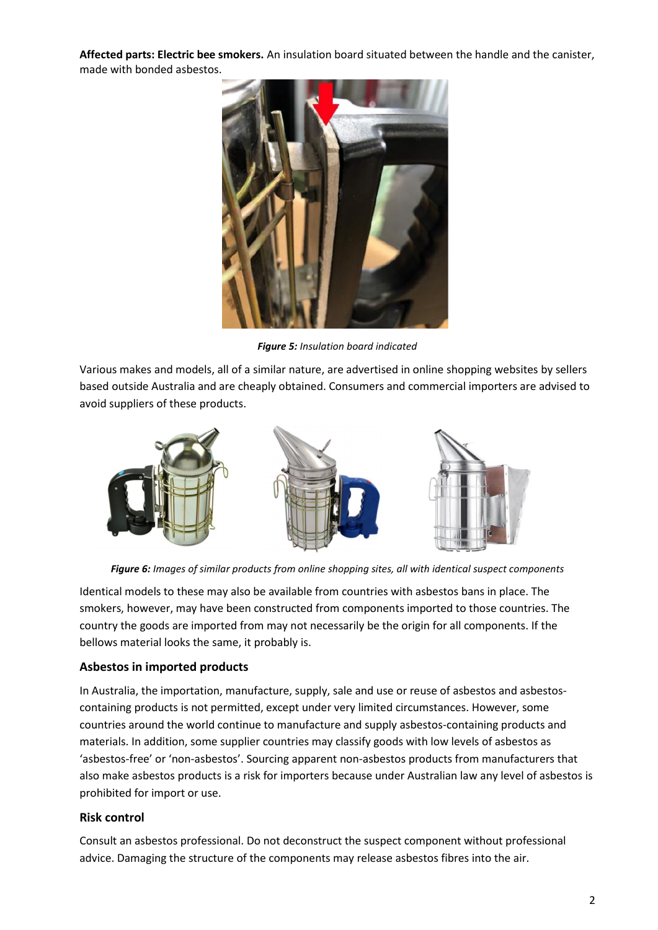**Affected parts: Electric bee smokers.** An insulation board situated between the handle and the canister, made with bonded asbestos.



*Figure 5: Insulation board indicated*

Various makes and models, all of a similar nature, are advertised in online shopping websites by sellers based outside Australia and are cheaply obtained. Consumers and commercial importers are advised to avoid suppliers of these products.



*Figure 6: Images of similar products from online shopping sites, all with identical suspect components*

Identical models to these may also be available from countries with asbestos bans in place. The smokers, however, may have been constructed from components imported to those countries. The country the goods are imported from may not necessarily be the origin for all components. If the bellows material looks the same, it probably is.

## **Asbestos in imported products**

In Australia, the importation, manufacture, supply, sale and use or reuse of asbestos and asbestoscontaining products is not permitted, except under very limited circumstances. However, some countries around the world continue to manufacture and supply asbestos-containing products and materials. In addition, some supplier countries may classify goods with low levels of asbestos as 'asbestos-free' or 'non-asbestos'. Sourcing apparent non-asbestos products from manufacturers that also make asbestos products is a risk for importers because under Australian law any level of asbestos is prohibited for import or use.

## **Risk control**

Consult an asbestos professional. Do not deconstruct the suspect component without professional advice. Damaging the structure of the components may release asbestos fibres into the air.